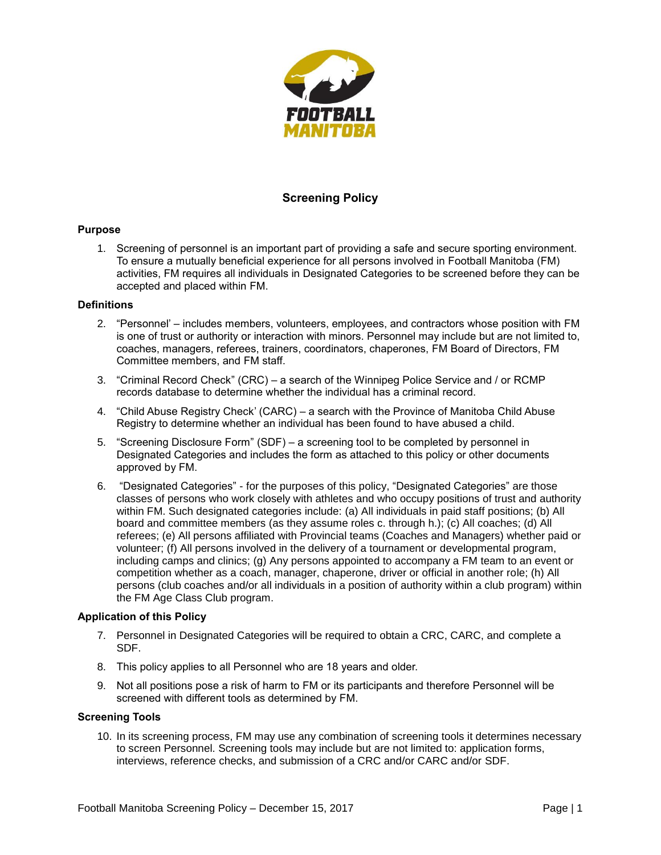

# **Screening Policy**

# **Purpose**

1. Screening of personnel is an important part of providing a safe and secure sporting environment. To ensure a mutually beneficial experience for all persons involved in Football Manitoba (FM) activities, FM requires all individuals in Designated Categories to be screened before they can be accepted and placed within FM.

### **Definitions**

- 2. "Personnel' includes members, volunteers, employees, and contractors whose position with FM is one of trust or authority or interaction with minors. Personnel may include but are not limited to, coaches, managers, referees, trainers, coordinators, chaperones, FM Board of Directors, FM Committee members, and FM staff.
- 3. "Criminal Record Check" (CRC) a search of the Winnipeg Police Service and / or RCMP records database to determine whether the individual has a criminal record.
- 4. "Child Abuse Registry Check' (CARC) a search with the Province of Manitoba Child Abuse Registry to determine whether an individual has been found to have abused a child.
- 5. "Screening Disclosure Form" (SDF) a screening tool to be completed by personnel in Designated Categories and includes the form as attached to this policy or other documents approved by FM.
- 6. "Designated Categories" for the purposes of this policy, "Designated Categories" are those classes of persons who work closely with athletes and who occupy positions of trust and authority within FM. Such designated categories include: (a) All individuals in paid staff positions; (b) All board and committee members (as they assume roles c. through h.); (c) All coaches; (d) All referees; (e) All persons affiliated with Provincial teams (Coaches and Managers) whether paid or volunteer; (f) All persons involved in the delivery of a tournament or developmental program, including camps and clinics; (g) Any persons appointed to accompany a FM team to an event or competition whether as a coach, manager, chaperone, driver or official in another role; (h) All persons (club coaches and/or all individuals in a position of authority within a club program) within the FM Age Class Club program.

### **Application of this Policy**

- 7. Personnel in Designated Categories will be required to obtain a CRC, CARC, and complete a SDF.
- 8. This policy applies to all Personnel who are 18 years and older.
- 9. Not all positions pose a risk of harm to FM or its participants and therefore Personnel will be screened with different tools as determined by FM.

### **Screening Tools**

10. In its screening process, FM may use any combination of screening tools it determines necessary to screen Personnel. Screening tools may include but are not limited to: application forms, interviews, reference checks, and submission of a CRC and/or CARC and/or SDF.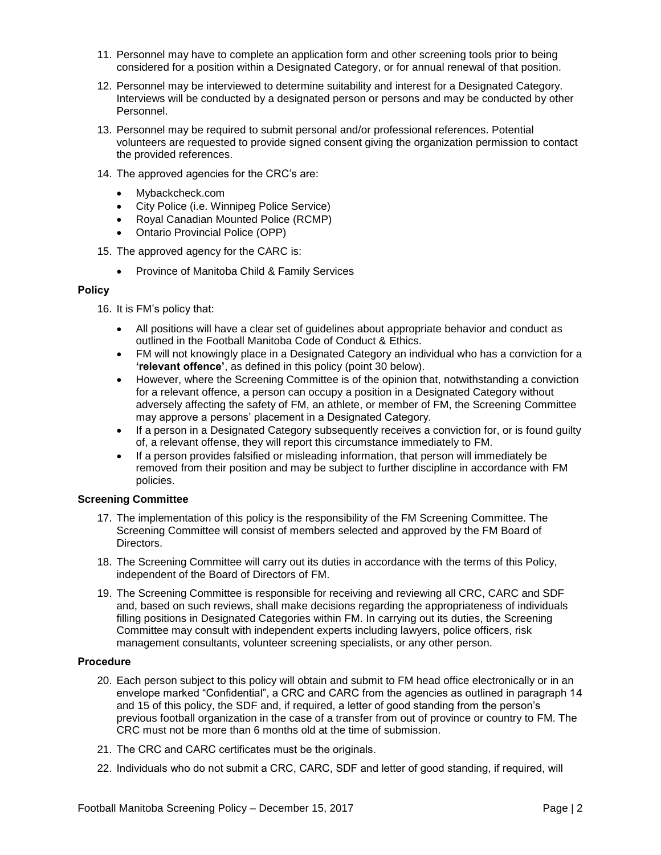- 11. Personnel may have to complete an application form and other screening tools prior to being considered for a position within a Designated Category, or for annual renewal of that position.
- 12. Personnel may be interviewed to determine suitability and interest for a Designated Category. Interviews will be conducted by a designated person or persons and may be conducted by other Personnel.
- 13. Personnel may be required to submit personal and/or professional references. Potential volunteers are requested to provide signed consent giving the organization permission to contact the provided references.
- 14. The approved agencies for the CRC's are:
	- Mybackcheck.com
	- City Police (i.e. Winnipeg Police Service)
	- Royal Canadian Mounted Police (RCMP)
	- Ontario Provincial Police (OPP)
- 15. The approved agency for the CARC is:
	- Province of Manitoba Child & Family Services

### **Policy**

16. It is FM's policy that:

- All positions will have a clear set of guidelines about appropriate behavior and conduct as outlined in the Football Manitoba Code of Conduct & Ethics.
- FM will not knowingly place in a Designated Category an individual who has a conviction for a **'relevant offence'**, as defined in this policy (point 30 below).
- However, where the Screening Committee is of the opinion that, notwithstanding a conviction for a relevant offence, a person can occupy a position in a Designated Category without adversely affecting the safety of FM, an athlete, or member of FM, the Screening Committee may approve a persons' placement in a Designated Category.
- If a person in a Designated Category subsequently receives a conviction for, or is found guilty of, a relevant offense, they will report this circumstance immediately to FM.
- If a person provides falsified or misleading information, that person will immediately be removed from their position and may be subject to further discipline in accordance with FM policies.

### **Screening Committee**

- 17. The implementation of this policy is the responsibility of the FM Screening Committee. The Screening Committee will consist of members selected and approved by the FM Board of **Directors**
- 18. The Screening Committee will carry out its duties in accordance with the terms of this Policy, independent of the Board of Directors of FM.
- 19. The Screening Committee is responsible for receiving and reviewing all CRC, CARC and SDF and, based on such reviews, shall make decisions regarding the appropriateness of individuals filling positions in Designated Categories within FM. In carrying out its duties, the Screening Committee may consult with independent experts including lawyers, police officers, risk management consultants, volunteer screening specialists, or any other person.

### **Procedure**

- 20. Each person subject to this policy will obtain and submit to FM head office electronically or in an envelope marked "Confidential", a CRC and CARC from the agencies as outlined in paragraph 14 and 15 of this policy, the SDF and, if required, a letter of good standing from the person's previous football organization in the case of a transfer from out of province or country to FM. The CRC must not be more than 6 months old at the time of submission.
- 21. The CRC and CARC certificates must be the originals.
- 22. Individuals who do not submit a CRC, CARC, SDF and letter of good standing, if required, will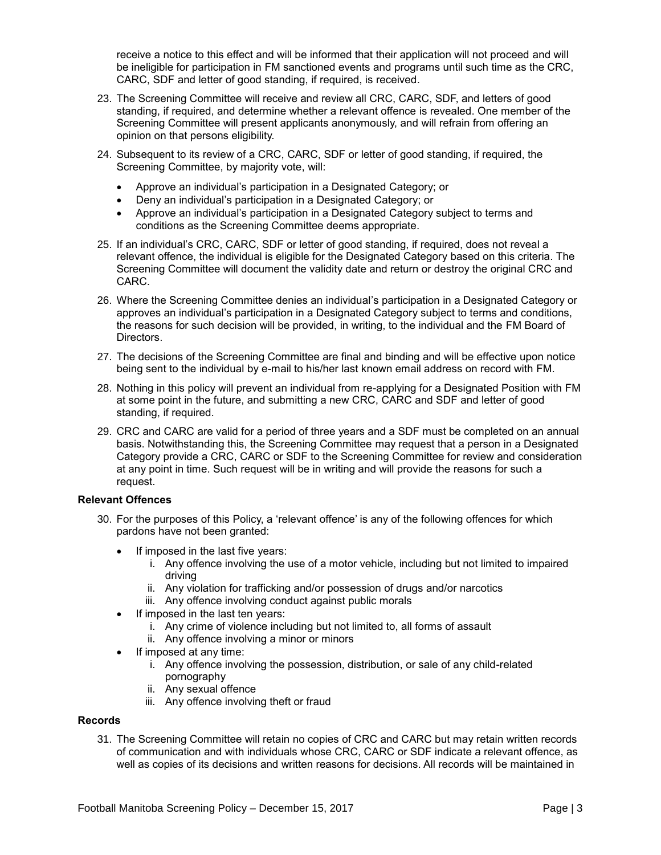receive a notice to this effect and will be informed that their application will not proceed and will be ineligible for participation in FM sanctioned events and programs until such time as the CRC, CARC, SDF and letter of good standing, if required, is received.

- 23. The Screening Committee will receive and review all CRC, CARC, SDF, and letters of good standing, if required, and determine whether a relevant offence is revealed. One member of the Screening Committee will present applicants anonymously, and will refrain from offering an opinion on that persons eligibility.
- 24. Subsequent to its review of a CRC, CARC, SDF or letter of good standing, if required, the Screening Committee, by majority vote, will:
	- Approve an individual's participation in a Designated Category; or
	- Deny an individual's participation in a Designated Category; or
	- Approve an individual's participation in a Designated Category subject to terms and conditions as the Screening Committee deems appropriate.
- 25. If an individual's CRC, CARC, SDF or letter of good standing, if required, does not reveal a relevant offence, the individual is eligible for the Designated Category based on this criteria. The Screening Committee will document the validity date and return or destroy the original CRC and CARC.
- 26. Where the Screening Committee denies an individual's participation in a Designated Category or approves an individual's participation in a Designated Category subject to terms and conditions, the reasons for such decision will be provided, in writing, to the individual and the FM Board of Directors.
- 27. The decisions of the Screening Committee are final and binding and will be effective upon notice being sent to the individual by e-mail to his/her last known email address on record with FM.
- 28. Nothing in this policy will prevent an individual from re-applying for a Designated Position with FM at some point in the future, and submitting a new CRC, CARC and SDF and letter of good standing, if required.
- 29. CRC and CARC are valid for a period of three years and a SDF must be completed on an annual basis. Notwithstanding this, the Screening Committee may request that a person in a Designated Category provide a CRC, CARC or SDF to the Screening Committee for review and consideration at any point in time. Such request will be in writing and will provide the reasons for such a request.

### **Relevant Offences**

- 30. For the purposes of this Policy, a 'relevant offence' is any of the following offences for which pardons have not been granted:
	- If imposed in the last five years:
		- i. Any offence involving the use of a motor vehicle, including but not limited to impaired driving
		- ii. Any violation for trafficking and/or possession of drugs and/or narcotics
		- iii. Any offence involving conduct against public morals
	- If imposed in the last ten years:
		- i. Any crime of violence including but not limited to, all forms of assault
		- ii. Any offence involving a minor or minors
	- If imposed at any time:
		- i. Any offence involving the possession, distribution, or sale of any child-related pornography
		- ii. Any sexual offence
		- iii. Any offence involving theft or fraud

### **Records**

31. The Screening Committee will retain no copies of CRC and CARC but may retain written records of communication and with individuals whose CRC, CARC or SDF indicate a relevant offence, as well as copies of its decisions and written reasons for decisions. All records will be maintained in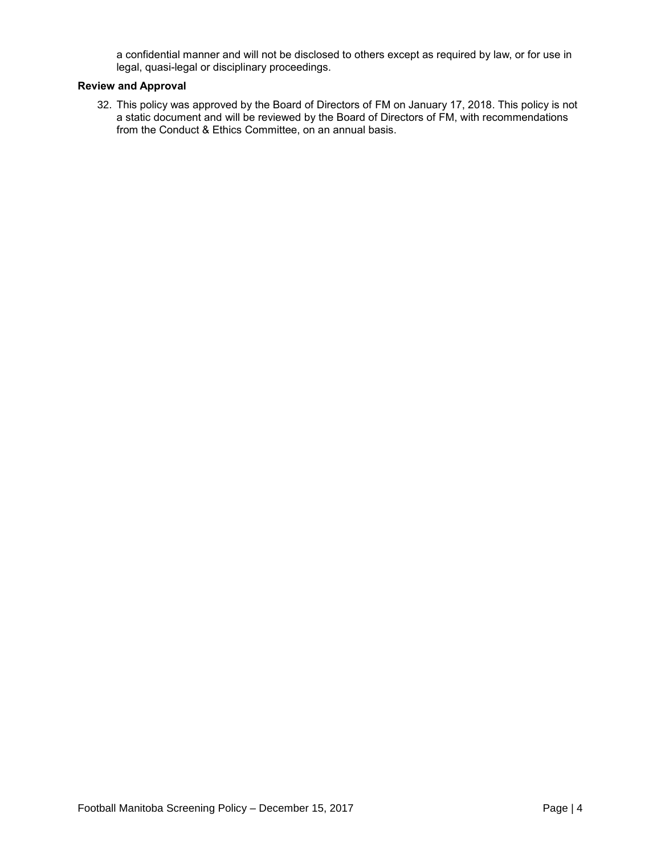a confidential manner and will not be disclosed to others except as required by law, or for use in legal, quasi-legal or disciplinary proceedings.

# **Review and Approval**

32. This policy was approved by the Board of Directors of FM on January 17, 2018. This policy is not a static document and will be reviewed by the Board of Directors of FM, with recommendations from the Conduct & Ethics Committee, on an annual basis.